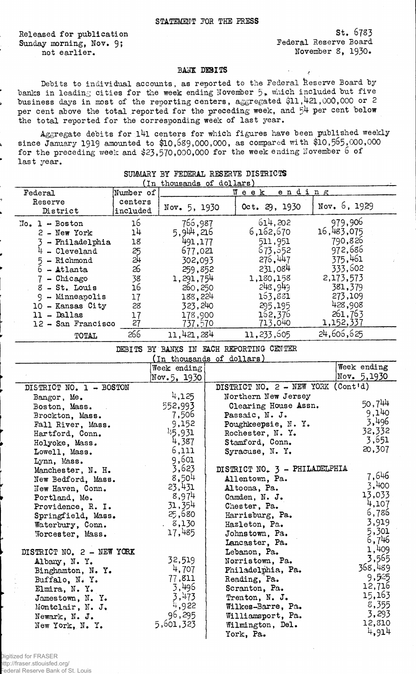Released for publication Sunday morning, Nov. 9; not earlier.

St. 6783 Federal Reserve Board November 8, 1930.

## BASK DEBITS

Debits to individual accounts, as reported to the Federal Reserve Board by banks in leading cities for the week ending November  $5$ , which included but five business days in most of the reporting centers, aggregated \$11,421,000,000 or 2 per cent above the total reported for the preceding week, and 54 per cent below the total reported for the corresponding week of last year.

Aggregate debits for 141 centers for which figures have been published weekly since January 1919 amounted to \$10,689,000,000, as compared with \$10,565,000,000 for the preceding week and \$23,570,000,000 for the week ending November 6 of last year.

| (In thousands of dollars)                   |                     |                               |                                |                                  |  |
|---------------------------------------------|---------------------|-------------------------------|--------------------------------|----------------------------------|--|
| Federal                                     | Number of           | ending<br>$W$ e e k $L$       |                                |                                  |  |
| Reserve<br>District                         | centers<br>included | Nov. 5, 1930                  | 0ct. 29, 1930                  | Nov. 6, 1929                     |  |
| $No. 1 - Boston$<br>$2 - New York$          | 16<br>14            | 766,987<br>5,944,216          | 614,202<br>6,162,670           | 979,906<br>16,483,075<br>790,826 |  |
| - Philadelphia<br>- Cleveland<br>- Richmond | 18<br>25<br>24      | 491,177<br>677,021<br>302,093 | 511,951<br>673, 652<br>276,447 | 972,686<br>375,461               |  |
| 6 - Atlanta<br>$-$ Chicago                  | 26<br>38            | 259,852<br>1,291,754          | 231,084<br>1,180,158           | 333,602<br>2,173,573             |  |
| $8$ - St. Louis<br>- Minneapolis            | 16<br>17            | 260, 250<br>188,224           | 243,949<br>163,881             | 381,379<br>273,109               |  |
| 10 - Kansas City<br>$11 -$ Dallas           | 28<br>17            | 323,240<br>178,900            | 295,195<br>162,376             | 428,908<br>261,763               |  |
| 12 - San Francisco                          | 27                  | 737,570                       | 713,040                        | 1,152,337                        |  |
| TOTAL                                       | 266                 | 11,421,284                    | 11, 233, 605                   | 24,606,625                       |  |

SUMMARY BY FEDERAL RESERVE DISTRICTS

## DEBITS BY BANKS IN BACH REPORTING CENTER

(In thousands of dollars)

|                           | Week ending |                                      | Week ending |
|---------------------------|-------------|--------------------------------------|-------------|
|                           | Nov.5, 1930 |                                      | Nov. 5,1930 |
| DISTRICT NO. 1 - BOSTON   |             | DISTRICT NO. $2 - NEW YORK (Cont'd)$ |             |
| Bangor, Me.               | 4,125       | Northern New Jersey                  |             |
| Boston, Mass.             | 552,993     | Clearing House Assn.                 | 50,744      |
| Brockton, Mass.           | 7,506       | Passaic, N. J.                       | 9,140       |
| Fall River, Mass.         | 9,152       | Poughkeepsie, N.Y.                   | 3,496       |
| Hartford, Conn.           | 45,931      | Rochester, N. Y.                     | 32,332      |
| Holyoke, Mass.            | 4,387       | Stamford, Conn.                      | 3,651       |
| Lowell, Mass.             | 6,111       | Syracuse, N.Y.                       | 20,307      |
| Lynn, Mass.               | 9,601       |                                      |             |
| Manchester, N. H.         | 3,623       | DISTRICT NO. 3 - PHILADELPHIA        |             |
| New Bedford, Mass.        | 8,504       | Allentown, Pa.                       | 7,646       |
| New Haven, Conn.          | 23,431      | Altoona, Pa.                         | 3,400       |
| Portland, Me.             | 8,974       | Camden, N. J.                        | 13,033      |
| Providence, R. I.         | 31,354      | Chester, Pa.                         | 4,107       |
| Springfield, Mass.        | 25,680      | Harrisburg, Pa.                      | 6,785       |
| Waterbury, Conn.          | 8,130       | Hazleton, Pa.                        | 3,919       |
| Worcester, Mass.          | 17,485      | Johnstown, Pa.                       | 5,301       |
|                           |             | Lancaster, Pa.                       | 6,746       |
| DISTRICT NO. 2 - NEW YORK |             | Lebanon, Pa.                         | 1,409       |
| Albany, N.Y.              | 32,519      | Norristown, Pa.                      | 3,565       |
| Binghamton, N. Y.         | 4,707       | Philadelphia, Pa.                    | 368,489     |
| Buffalo, N.Y.             | 77,811      | Reading, Pa.                         | 9,525       |
| Elmira, N.Y.              | 3,496       | Scranton, Pa.                        | 12,716      |
| Jamestown, N. Y.          | 3,473       | Trenton, N. J.                       | 15,163      |
| Montclair, N. J.          | 4,922       | Wilkes-Barre, Pa.                    | 8,355       |
| Newark, N. J.             | 96,295      | Williamsport, Pa.                    | 3,293       |
| New York, N. Y.           | 5,601,323   | Wilmington, Del.                     | 12,810      |
|                           |             | York, Pa.                            | 4,914       |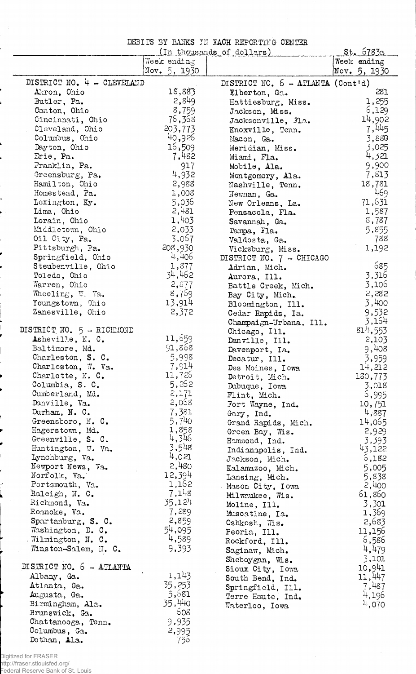DEBITS BY BANKS IN RACH REPORTING CENTER

|                                      |              | (In thousands of dollars)                  | <u>St. 6783a</u> |
|--------------------------------------|--------------|--------------------------------------------|------------------|
|                                      | Week ending  |                                            | Week ending      |
|                                      | Nov. 5, 1930 |                                            | Nov. 5, 1930     |
| DISTRICT NO. 4 - CLEVELAND           |              | DISTRICT NO. $6 - \text{ATLAVTA}$ (Cont'd) |                  |
| Akron, Ohio                          | 18,883       | Elberton, Ga.                              | 281              |
| Butler, Pa.                          | 2,849        | Hattiesburg, Miss.                         | 1,255            |
| Canton, Ohio                         | 8,759        | Jackson, Miss.                             | 6,129            |
| Cincinnati, Ohio                     | 76,368       | Jacksonville, Fla.                         | 14,902           |
| Cleveland, Ohio                      | 203,773      | Knoxville, Tenn.                           | 7,445            |
| Columbus, Ohio                       | 40,926       | Macon, Ga.                                 | 3,880            |
| Dayton, Ohio                         | 16,509       | Meridian, Miss.                            | 3,025            |
| Erie, Pa.                            | 7,482        | Miami, Fla.                                | 4,321            |
| Franklin, Pa.                        | 917          | Mobile, Ala.                               | 9,900            |
| Greensburg, Pa.                      | 4,932        | Montgomery, Ala.                           | 7,813            |
| Hamilton, Ohio                       | 2,988        | Nashville, Tenn.                           | 18,781           |
| Homestead, Pa.                       | 1,008        | Newnan, Ga.                                | 469              |
| Lexington, Ky.                       | 5,036        | New Orleans, La.                           | 71,631           |
| Lima, Ohio                           | 2,481        |                                            | 1,587            |
| Lorain, Ohio                         | 1,403        | Pensacola, Fla.                            | 8,787            |
| Middletown, Ohio                     | 2,033        | Savannah, Ga.                              | 5,855            |
| Oil City, Pa.                        | 3,067        | Tampa, Fla.                                | 788              |
|                                      | 208,930      | Valdosta, Ga.                              |                  |
| Pittsburgh, Pa.<br>Springfield, Ohio | 4,406        | Vicksburg, Miss.                           | 1,192            |
|                                      | 1,877        | DISTRICT NO. 7 - CHICAGO                   | 685              |
| Steubenville, Ohio                   | 34,462       | Adrian, Mich.                              |                  |
| Toledo, Ohio                         |              | Aurora, Ill.                               | 3,316            |
| Warren, Ohio                         | 2,577        | Battle Creek, Mich.                        | 3,106            |
| Wheeling, W. Va.                     | 8,759        | Bay City, Mich.                            | 2,282            |
| Youngstown, Ohio                     | 13,914       | Bloomington, Ill.                          | 3,400            |
| Zanesville, Ohio                     | 2,372        | Cedar Rapids, Ia.                          | 9,532            |
|                                      |              | Champaign-Urbana, Ill.                     | 3,164            |
| DISTRICT NO. 5 - RICHMOND            |              | Chicago, Ill.                              | 814,553          |
| Asheville, N. C.                     | 11,659       | Danville, Ill.                             | 2,103            |
| Baltimore, Md.                       | 91,868       | Davenport, Ia.                             | 9,408            |
| Charleston, S. C.                    | 5,998        | Decatur, Ill.                              | 3,959            |
| Charleston, W. Va.                   | 7,914        | Des Moines, Iowa                           | 14,212           |
| Charlotte, N. C.                     | 11,726       | Detroit, Mich.                             | 130,773          |
| Columbia, S. C.                      | 5,262        | Dubuque, Iowa                              | 3,018            |
| Cumberland, Md.                      | 2,171        | Flint, Mich.                               | 5,995            |
| Danville, Va.                        | 2,058        | Fort Wayne, Ind.                           | 10,751           |
| Durham, N. C.                        | 7,381        | Gary, Ind.                                 | 4,887            |
| Greensboro, N. C.                    | 5,740        | Grand Rapids, Mich.                        | 14,065           |
| Hagerstown, Md.                      | 1,858        | Green Bay, Wis.                            | 2,929            |
| Greenville, S. C.                    | 4,346        | Hammond, Ind.                              | 3,393            |
| Huntington, W. Va.                   | 3,548        | Indianapolis, Ind.                         | 43,122           |
| Lynchburg, Va.                       | 4,021        | Jackson, Mich.                             | 6,182            |
| Newport News, Va.                    | 2,480        | Kalamazoo, Mich.                           | 5,005            |
| Norfolk, Va.                         | 12,394       | Lansing, Mich.                             | 5,838            |
| Portsmouth, Va.                      | 1,162        | Mason City, Iowa                           | 2,400            |
| Raleigh, N. C.                       | 7,148        | Milwaukee, Wis.                            | 61,860           |
| Richmond, Va.                        | 35,124       | Moline, Ill.                               | 3,301            |
| Roanoke, Va.                         | 7,289        | Muscatine, Ia.                             | 1,369            |
| Spartanburg, S. C.                   | 2,859        | Oshkosh, Wis.                              | 2,683            |
| Washington, D. C.                    | 54,095       | Peoria, Ill.                               | 11,156           |
| Wilmington, N. C.                    | 4,589        | Rockford, Ill.                             | 6,586            |
| Winston-Salem, N. C.                 | 9,393        | Saginaw, Mich.                             | 4,479            |
|                                      |              | Sheboygan, Wis.                            | 3,101            |
| DISTRICT NO. 6 - ATLANTA             |              | Sioux City, Iowa                           | 10,941           |
| Albany, Ga.                          | 1,143        | South Bend, Ind.                           | 11,447           |
| Atlanta, Ga.                         | 35,253       | Springfield, Ill.                          | 7,487            |
| Augusta, Ga.                         | 5,681        | Terre Haute, Ind.                          | 4,196            |
| Birmingham, Ala.                     | 35,440       | Waterloo, Iowa                             | 4,070            |
| Brunswick, Ga.                       | 608          |                                            |                  |
| Chattanooga, Tenn.                   | 9,935        |                                            |                  |
| Columbus, Ga.                        | 2,995        |                                            |                  |
| Dothan, Ala.                         | 755          |                                            |                  |

Digitized for FRASER<br>http://fraser.stlouisfed.org/<br>Federal Reserve Bank of St. Louis

í J.